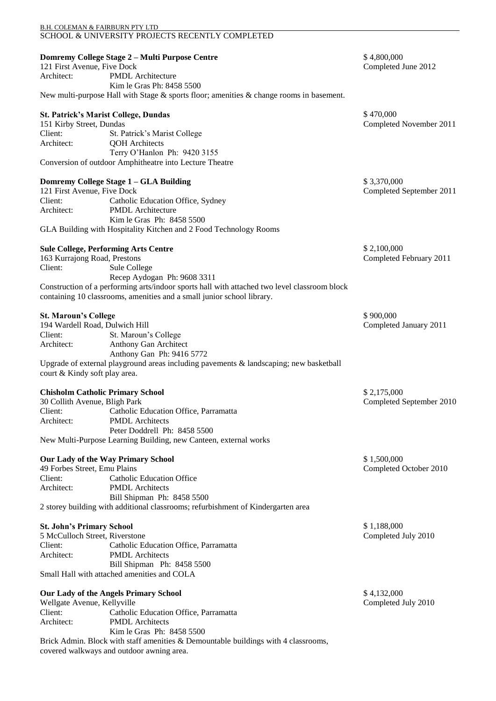| B.H. COLEMAN & FAIRBURN PTY LTD                                             | SCHOOL & UNIVERSITY PROJECTS RECENTLY COMPLETED                                                                                                                        |                                         |
|-----------------------------------------------------------------------------|------------------------------------------------------------------------------------------------------------------------------------------------------------------------|-----------------------------------------|
| 121 First Avenue, Five Dock<br>Architect:                                   | Domremy College Stage 2 - Multi Purpose Centre<br><b>PMDL</b> Architecture                                                                                             | \$4,800,000<br>Completed June 2012      |
|                                                                             | Kim le Gras Ph: 8458 5500<br>New multi-purpose Hall with Stage & sports floor; amenities & change rooms in basement.                                                   |                                         |
| <b>St. Patrick's Marist College, Dundas</b><br>151 Kirby Street, Dundas     |                                                                                                                                                                        | \$470,000<br>Completed November 2011    |
| Client:                                                                     | St. Patrick's Marist College                                                                                                                                           |                                         |
| Architect:                                                                  | <b>QOH</b> Architects<br>Terry O'Hanlon Ph: 9420 3155                                                                                                                  |                                         |
|                                                                             | Conversion of outdoor Amphitheatre into Lecture Theatre                                                                                                                |                                         |
| Domremy College Stage 1 - GLA Building<br>121 First Avenue, Five Dock       |                                                                                                                                                                        | \$3,370,000<br>Completed September 2011 |
| Client:                                                                     | Catholic Education Office, Sydney                                                                                                                                      |                                         |
| Architect:                                                                  | <b>PMDL</b> Architecture<br>Kim le Gras Ph: 8458 5500                                                                                                                  |                                         |
|                                                                             | GLA Building with Hospitality Kitchen and 2 Food Technology Rooms                                                                                                      |                                         |
| <b>Sule College, Performing Arts Centre</b><br>163 Kurrajong Road, Prestons |                                                                                                                                                                        | \$2,100,000<br>Completed February 2011  |
| Client:                                                                     | Sule College                                                                                                                                                           |                                         |
|                                                                             | Recep Aydogan Ph: 9608 3311                                                                                                                                            |                                         |
|                                                                             | Construction of a performing arts/indoor sports hall with attached two level classroom block<br>containing 10 classrooms, amenities and a small junior school library. |                                         |
| <b>St. Maroun's College</b><br>194 Wardell Road, Dulwich Hill               |                                                                                                                                                                        | \$900,000<br>Completed January 2011     |
| Client:                                                                     | St. Maroun's College                                                                                                                                                   |                                         |
| Architect:                                                                  | Anthony Gan Architect<br>Anthony Gan Ph: 9416 5772                                                                                                                     |                                         |
| court & Kindy soft play area.                                               | Upgrade of external playground areas including pavements & landscaping; new basketball                                                                                 |                                         |
| <b>Chisholm Catholic Primary School</b><br>30 Collith Avenue, Bligh Park    |                                                                                                                                                                        | \$2,175,000<br>Completed September 2010 |
| Client:                                                                     | Catholic Education Office, Parramatta                                                                                                                                  |                                         |
| Architect:                                                                  | <b>PMDL</b> Architects                                                                                                                                                 |                                         |
|                                                                             | Peter Doddrell Ph: 8458 5500<br>New Multi-Purpose Learning Building, new Canteen, external works                                                                       |                                         |
|                                                                             |                                                                                                                                                                        |                                         |
| Our Lady of the Way Primary School<br>49 Forbes Street, Emu Plains          |                                                                                                                                                                        | \$1,500,000<br>Completed October 2010   |
| Client:                                                                     | <b>Catholic Education Office</b>                                                                                                                                       |                                         |
| Architect:                                                                  | <b>PMDL</b> Architects<br>Bill Shipman Ph: 8458 5500                                                                                                                   |                                         |
|                                                                             | 2 storey building with additional classrooms; refurbishment of Kindergarten area                                                                                       |                                         |
| <b>St. John's Primary School</b><br>5 McCulloch Street, Riverstone          |                                                                                                                                                                        | \$1,188,000<br>Completed July 2010      |
| Client:                                                                     | Catholic Education Office, Parramatta                                                                                                                                  |                                         |
| Architect:                                                                  | <b>PMDL</b> Architects                                                                                                                                                 |                                         |
|                                                                             | Bill Shipman Ph: 8458 5500<br>Small Hall with attached amenities and COLA                                                                                              |                                         |
| Our Lady of the Angels Primary School<br>Wellgate Avenue, Kellyville        |                                                                                                                                                                        | \$4,132,000                             |
| Client:                                                                     |                                                                                                                                                                        | Completed July 2010                     |
| Architect:                                                                  | Catholic Education Office, Parramatta<br><b>PMDL</b> Architects<br>Kim le Gras Ph: 8458 5500                                                                           |                                         |
|                                                                             | Brick Admin. Block with staff amenities & Demountable buildings with 4 classrooms,<br>covered walkways and outdoor awning area.                                        |                                         |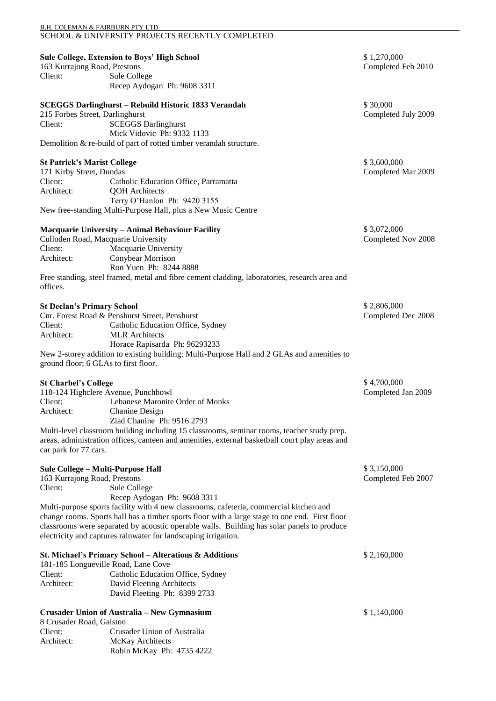| B.H. COLEMAN & FAIRBURN PTY LTD      |                                                                                                |                     |
|--------------------------------------|------------------------------------------------------------------------------------------------|---------------------|
|                                      | SCHOOL & UNIVERSITY PROJECTS RECENTLY COMPLETED                                                |                     |
|                                      |                                                                                                |                     |
|                                      | <b>Sule College, Extension to Boys' High School</b>                                            | \$1,270,000         |
| 163 Kurrajong Road, Prestons         |                                                                                                | Completed Feb 2010  |
| Client:                              | Sule College                                                                                   |                     |
|                                      | Recep Aydogan Ph: 9608 3311                                                                    |                     |
|                                      |                                                                                                |                     |
|                                      |                                                                                                | \$30,000            |
|                                      | <b>SCEGGS Darlinghurst - Rebuild Historic 1833 Verandah</b>                                    |                     |
| 215 Forbes Street, Darlinghurst      |                                                                                                | Completed July 2009 |
| Client:                              | <b>SCEGGS Darlinghurst</b>                                                                     |                     |
|                                      | Mick Vidovic Ph: 9332 1133                                                                     |                     |
|                                      | Demolition & re-build of part of rotted timber verandah structure.                             |                     |
|                                      |                                                                                                |                     |
| <b>St Patrick's Marist College</b>   |                                                                                                | \$3,600,000         |
| 171 Kirby Street, Dundas             |                                                                                                | Completed Mar 2009  |
| Client:                              | Catholic Education Office, Parramatta                                                          |                     |
| Architect:                           | <b>QOH</b> Architects                                                                          |                     |
|                                      | Terry O'Hanlon Ph: 9420 3155                                                                   |                     |
|                                      | New free-standing Multi-Purpose Hall, plus a New Music Centre                                  |                     |
|                                      |                                                                                                |                     |
|                                      | <b>Macquarie University - Animal Behaviour Facility</b>                                        | \$3,072,000         |
| Culloden Road, Macquarie University  |                                                                                                | Completed Nov 2008  |
| Client:                              | Macquarie University                                                                           |                     |
| Architect:                           | Conybear Morrison                                                                              |                     |
|                                      | Ron Yuen Ph: 8244 8888                                                                         |                     |
|                                      | Free standing, steel framed, metal and fibre cement cladding, laboratories, research area and  |                     |
| offices.                             |                                                                                                |                     |
|                                      |                                                                                                |                     |
| <b>St Declan's Primary School</b>    |                                                                                                | \$2,806,000         |
|                                      | Cnr. Forest Road & Penshurst Street, Penshurst                                                 | Completed Dec 2008  |
| Client:                              | Catholic Education Office, Sydney                                                              |                     |
| Architect:                           | <b>MLR</b> Architects                                                                          |                     |
|                                      | Horace Rapisarda Ph: 96293233                                                                  |                     |
|                                      | New 2-storey addition to existing building: Multi-Purpose Hall and 2 GLAs and amenities to     |                     |
| ground floor; 6 GLAs to first floor. |                                                                                                |                     |
|                                      |                                                                                                |                     |
| <b>St Charbel's College</b>          |                                                                                                | \$4,700,000         |
| 118-124 Highclere Avenue, Punchbowl  |                                                                                                | Completed Jan 2009  |
| Client:                              | Lebanese Maronite Order of Monks                                                               |                     |
| Architect:                           | Chanine Design                                                                                 |                     |
|                                      | Ziad Chanine Ph: 9516 2793                                                                     |                     |
|                                      | Multi-level classroom building including 15 classrooms, seminar rooms, teacher study prep.     |                     |
|                                      | areas, administration offices, canteen and amenities, external basketball court play areas and |                     |
| car park for 77 cars.                |                                                                                                |                     |
|                                      |                                                                                                |                     |
| Sule College - Multi-Purpose Hall    |                                                                                                | \$3,150,000         |
| 163 Kurrajong Road, Prestons         |                                                                                                | Completed Feb 2007  |
| Client:                              | Sule College                                                                                   |                     |
|                                      | Recep Aydogan Ph: 9608 3311                                                                    |                     |
|                                      | Multi-purpose sports facility with 4 new classrooms, cafeteria, commercial kitchen and         |                     |
|                                      | change rooms. Sports hall has a timber sports floor with a large stage to one end. First floor |                     |
|                                      | classrooms were separated by acoustic operable walls. Building has solar panels to produce     |                     |
|                                      | electricity and captures rainwater for landscaping irrigation.                                 |                     |
|                                      |                                                                                                |                     |
|                                      | St. Michael's Primary School - Alterations & Additions                                         | \$2,160,000         |
| 181-185 Longueville Road, Lane Cove  |                                                                                                |                     |
| Client:                              | Catholic Education Office, Sydney                                                              |                     |
| Architect:                           | David Fleeting Architects                                                                      |                     |
|                                      | David Fleeting Ph: 8399 2733                                                                   |                     |
|                                      |                                                                                                |                     |
|                                      | Crusader Union of Australia - New Gymnasium                                                    | \$1,140,000         |
| 8 Crusader Road, Galston             |                                                                                                |                     |
| Client:                              | Crusader Union of Australia                                                                    |                     |
| Architect:                           | McKay Architects                                                                               |                     |
|                                      | Robin McKay Ph: 4735 4222                                                                      |                     |
|                                      |                                                                                                |                     |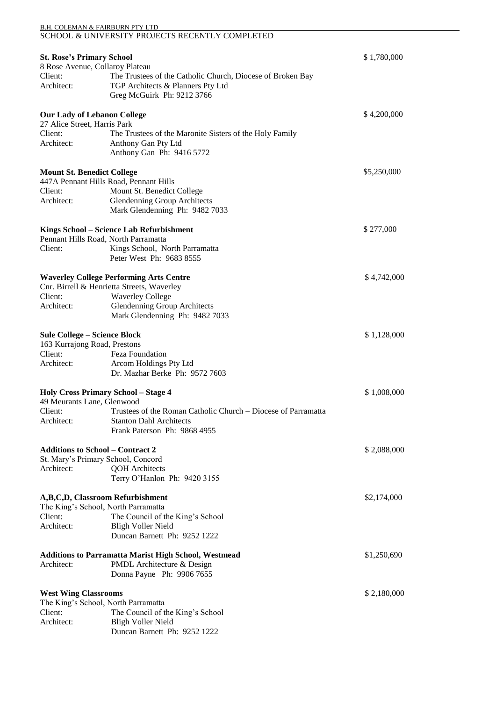## B.H. COLEMAN & FAIRBURN PTY LTD SCHOOL & UNIVERSITY PROJECTS RECENTLY COMPLETED **St. Rose's Primary School** \$ 1,780,000 8 Rose Avenue, Collaroy Plateau Client: The Trustees of the Catholic Church, Diocese of Broken Bay<br>Architect: TGP Architects & Planners Ptv Ltd TGP Architects & Planners Pty Ltd Greg McGuirk Ph: 9212 3766 **Our Lady of Lebanon College**  $$4,200,000$ 27 Alice Street, Harris Park Client: The Trustees of the Maronite Sisters of the Holy Family<br>Architect: Anthony Gan Pty Ltd Anthony Gan Pty Ltd Anthony Gan Ph: 9416 5772 **Mount St. Benedict College**  $$5,250,000$ 447A Pennant Hills Road, Pennant Hills Client: Mount St. Benedict College Architect: Glendenning Group Architects Mark Glendenning Ph: 9482 7033 **Kings School – Science Lab Refurbishment** \$ 277,000 Pennant Hills Road, North Parramatta Client: Kings School, North Parramatta Peter West Ph: 9683 8555 **Waverley College Performing Arts Centre**  $$4,742,000$ Cnr. Birrell & Henrietta Streets, Waverley Client: Waverley College Architect: Glendenning Group Architects Mark Glendenning Ph: 9482 7033 **Sule College – Science Block** \$ 1,128,000 163 Kurrajong Road, Prestons Feza Foundation Architect: Arcom Holdings Pty Ltd Dr. Mazhar Berke Ph: 9572 7603 **Holy Cross Primary School – Stage 4** \$ 1,008,000 49 Meurants Lane, Glenwood Client: Trustees of the Roman Catholic Church – Diocese of Parramatta Architect: Stanton Dahl Architects Frank Paterson Ph: 9868 4955 **Additions to School – Contract 2** \$ 2,088,000 St. Mary's Primary School, Concord Architect: QOH Architects Terry O'Hanlon Ph: 9420 3155 **A,B,C,D, Classroom Refurbishment** \$2,174,000 The King's School, North Parramatta Client: The Council of the King's School Architect: Bligh Voller Nield Duncan Barnett Ph: 9252 1222 **Additions to Parramatta Marist High School, Westmead** \$1,250,690 Architect: PMDL Architecture & Design Donna Payne Ph: 9906 7655 **West Wing Classrooms** \$ 2,180,000 The King's School, North Parramatta Client: The Council of the King's School Architect: Bligh Voller Nield Duncan Barnett Ph: 9252 1222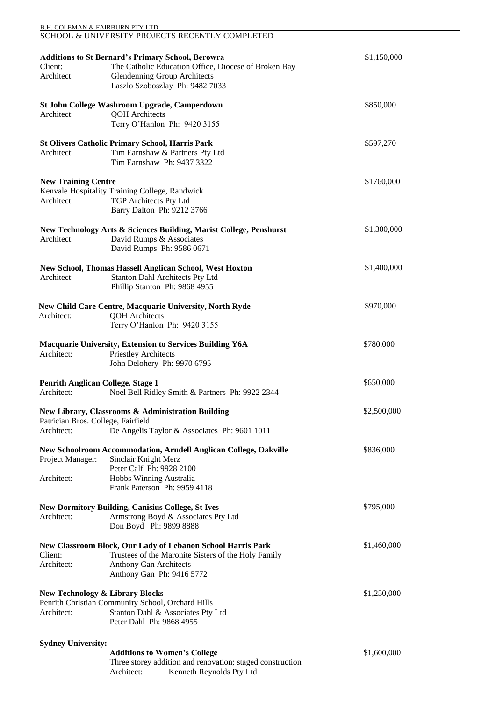| <b>B.H. COLEMAN &amp; FAIRBURN PTY LTD</b>               | SCHOOL & UNIVERSITY PROJECTS RECENTLY COMPLETED                                                                                                                                            |             |  |  |  |
|----------------------------------------------------------|--------------------------------------------------------------------------------------------------------------------------------------------------------------------------------------------|-------------|--|--|--|
| Client:<br>Architect:                                    | <b>Additions to St Bernard's Primary School, Berowra</b><br>The Catholic Education Office, Diocese of Broken Bay<br><b>Glendenning Group Architects</b><br>Laszlo Szoboszlay Ph: 9482 7033 |             |  |  |  |
| Architect:                                               | St John College Washroom Upgrade, Camperdown<br><b>QOH</b> Architects<br>Terry O'Hanlon Ph: 9420 3155                                                                                      | \$850,000   |  |  |  |
| Architect:                                               | <b>St Olivers Catholic Primary School, Harris Park</b><br>Tim Earnshaw & Partners Pty Ltd<br>Tim Earnshaw Ph: 9437 3322                                                                    | \$597,270   |  |  |  |
| <b>New Training Centre</b><br>Architect:                 | Kenvale Hospitality Training College, Randwick<br><b>TGP Architects Pty Ltd</b><br>Barry Dalton Ph: 9212 3766                                                                              | \$1760,000  |  |  |  |
| Architect:                                               | New Technology Arts & Sciences Building, Marist College, Penshurst<br>David Rumps & Associates<br>David Rumps Ph: 9586 0671                                                                | \$1,300,000 |  |  |  |
| Architect:                                               | New School, Thomas Hassell Anglican School, West Hoxton<br>Stanton Dahl Architects Pty Ltd<br>Phillip Stanton Ph: 9868 4955                                                                | \$1,400,000 |  |  |  |
| Architect:                                               | New Child Care Centre, Macquarie University, North Ryde<br><b>QOH</b> Architects<br>Terry O'Hanlon Ph: 9420 3155                                                                           | \$970,000   |  |  |  |
| Architect:                                               | <b>Macquarie University, Extension to Services Building Y6A</b><br>Priestley Architects<br>John Delohery Ph: 9970 6795                                                                     | \$780,000   |  |  |  |
| <b>Penrith Anglican College, Stage 1</b><br>Architect:   | Noel Bell Ridley Smith & Partners Ph: 9922 2344                                                                                                                                            | \$650,000   |  |  |  |
| Patrician Bros. College, Fairfield<br>Architect:         | New Library, Classrooms & Administration Building<br>De Angelis Taylor & Associates Ph: 9601 1011                                                                                          | \$2,500,000 |  |  |  |
| Project Manager:<br>Architect:                           | <b>New Schoolroom Accommodation, Arndell Anglican College, Oakville</b><br>Sinclair Knight Merz<br>Peter Calf Ph: 9928 2100<br>Hobbs Winning Australia<br>Frank Paterson Ph: 9959 4118     | \$836,000   |  |  |  |
| Architect:                                               | <b>New Dormitory Building, Canisius College, St Ives</b><br>Armstrong Boyd & Associates Pty Ltd<br>Don Boyd Ph: 9899 8888                                                                  | \$795,000   |  |  |  |
| Client:<br>Architect:                                    | New Classroom Block, Our Lady of Lebanon School Harris Park<br>Trustees of the Maronite Sisters of the Holy Family<br><b>Anthony Gan Architects</b><br>Anthony Gan Ph: 9416 5772           | \$1,460,000 |  |  |  |
| <b>New Technology &amp; Library Blocks</b><br>Architect: | Penrith Christian Community School, Orchard Hills<br>Stanton Dahl & Associates Pty Ltd<br>Peter Dahl Ph: 9868 4955                                                                         | \$1,250,000 |  |  |  |
| <b>Sydney University:</b>                                | <b>Additions to Women's College</b><br>Three storey addition and renovation; staged construction<br>Architect:<br>Kenneth Reynolds Pty Ltd                                                 | \$1,600,000 |  |  |  |